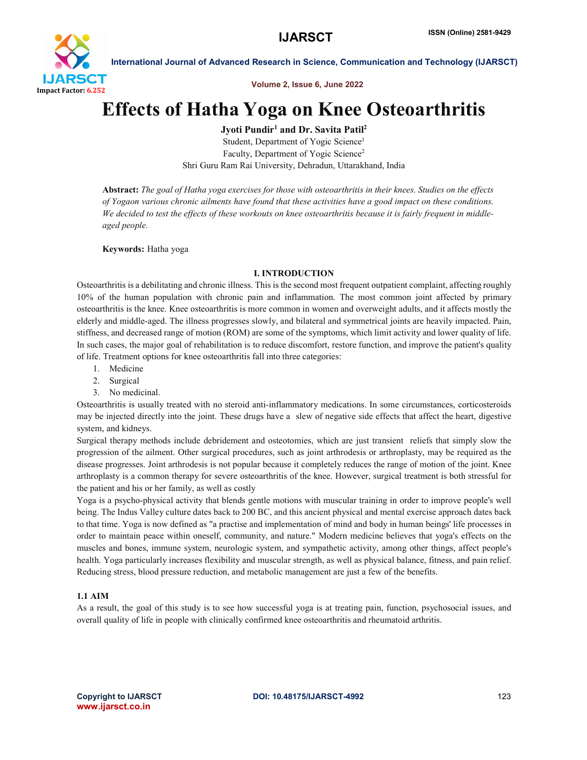

Volume 2, Issue 6, June 2022

# Effects of Hatha Yoga on Knee Osteoarthritis

Jyoti Pundir<sup>1</sup> and Dr. Savita Patil<sup>2</sup>

Student, Department of Yogic Science<sup>1</sup> Faculty, Department of Yogic Science<sup>2</sup> Shri Guru Ram Rai University, Dehradun, Uttarakhand, India

Abstract: *The goal of Hatha yoga exercises for those with osteoarthritis in their knees. Studies on the effects of Yogaon various chronic ailments have found that these activities have a good impact on these conditions. We decided to test the effects of these workouts on knee osteoarthritis because it is fairly frequent in middleaged people.*

Keywords: Hatha yoga

#### I. INTRODUCTION

Osteoarthritis is a debilitating and chronic illness. This is the second most frequent outpatient complaint, affecting roughly 10% of the human population with chronic pain and inflammation. The most common joint affected by primary osteoarthritis is the knee. Knee osteoarthritis is more common in women and overweight adults, and it affects mostly the elderly and middle-aged. The illness progresses slowly, and bilateral and symmetrical joints are heavily impacted. Pain, stiffness, and decreased range of motion (ROM) are some of the symptoms, which limit activity and lower quality of life. In such cases, the major goal of rehabilitation is to reduce discomfort, restore function, and improve the patient's quality of life. Treatment options for knee osteoarthritis fall into three categories:

- 1. Medicine
- 2. Surgical
- 3. No medicinal.

Osteoarthritis is usually treated with no steroid anti-inflammatory medications. In some circumstances, corticosteroids may be injected directly into the joint. These drugs have a slew of negative side effects that affect the heart, digestive system, and kidneys.

Surgical therapy methods include debridement and osteotomies, which are just transient reliefs that simply slow the progression of the ailment. Other surgical procedures, such as joint arthrodesis or arthroplasty, may be required as the disease progresses. Joint arthrodesis is not popular because it completely reduces the range of motion of the joint. Knee arthroplasty is a common therapy for severe osteoarthritis of the knee. However, surgical treatment is both stressful for the patient and his or her family, as well as costly

Yoga is a psycho-physical activity that blends gentle motions with muscular training in order to improve people's well being. The Indus Valley culture dates back to 200 BC, and this ancient physical and mental exercise approach dates back to that time. Yoga is now defined as "a practise and implementation of mind and body in human beings' life processes in order to maintain peace within oneself, community, and nature." Modern medicine believes that yoga's effects on the muscles and bones, immune system, neurologic system, and sympathetic activity, among other things, affect people's health. Yoga particularly increases flexibility and muscular strength, as well as physical balance, fitness, and pain relief. Reducing stress, blood pressure reduction, and metabolic management are just a few of the benefits.

## 1.1 AIM

As a result, the goal of this study is to see how successful yoga is at treating pain, function, psychosocial issues, and overall quality of life in people with clinically confirmed knee osteoarthritis and rheumatoid arthritis.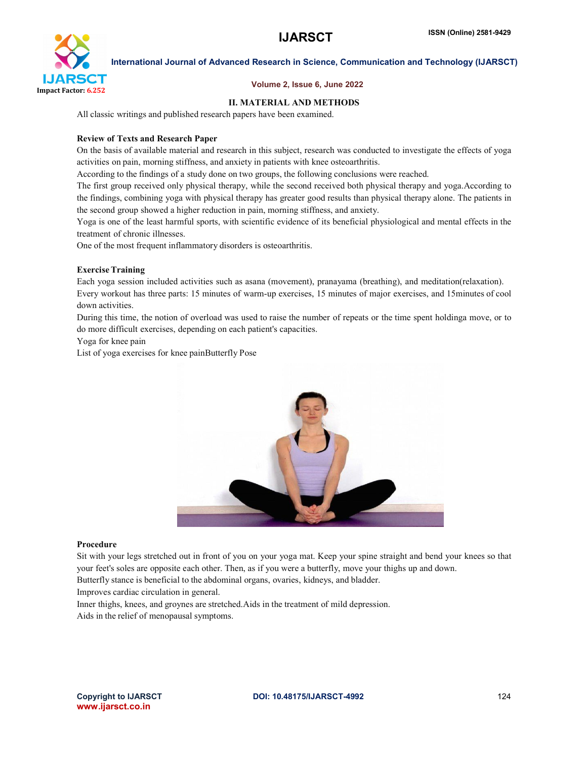

#### Volume 2, Issue 6, June 2022

#### II. MATERIAL AND METHODS

All classic writings and published research papers have been examined.

#### Review of Texts and Research Paper

On the basis of available material and research in this subject, research was conducted to investigate the effects of yoga activities on pain, morning stiffness, and anxiety in patients with knee osteoarthritis.

According to the findings of a study done on two groups, the following conclusions were reached.

The first group received only physical therapy, while the second received both physical therapy and yoga.According to the findings, combining yoga with physical therapy has greater good results than physical therapy alone. The patients in the second group showed a higher reduction in pain, morning stiffness, and anxiety.

Yoga is one of the least harmful sports, with scientific evidence of its beneficial physiological and mental effects in the treatment of chronic illnesses.

One of the most frequent inflammatory disorders is osteoarthritis.

#### **Exercise Training**

Each yoga session included activities such as asana (movement), pranayama (breathing), and meditation(relaxation). Every workout has three parts: 15 minutes of warm-up exercises, 15 minutes of major exercises, and 15minutes of cool down activities.

During this time, the notion of overload was used to raise the number of repeats or the time spent holdinga move, or to do more difficult exercises, depending on each patient's capacities.

Yoga for knee pain

List of yoga exercises for knee painButterfly Pose



#### Procedure

Sit with your legs stretched out in front of you on your yoga mat. Keep your spine straight and bend your knees so that your feet's soles are opposite each other. Then, as if you were a butterfly, move your thighs up and down. Butterfly stance is beneficial to the abdominal organs, ovaries, kidneys, and bladder.

Improves cardiac circulation in general.

Inner thighs, knees, and groynes are stretched.Aids in the treatment of mild depression. Aids in the relief of menopausal symptoms.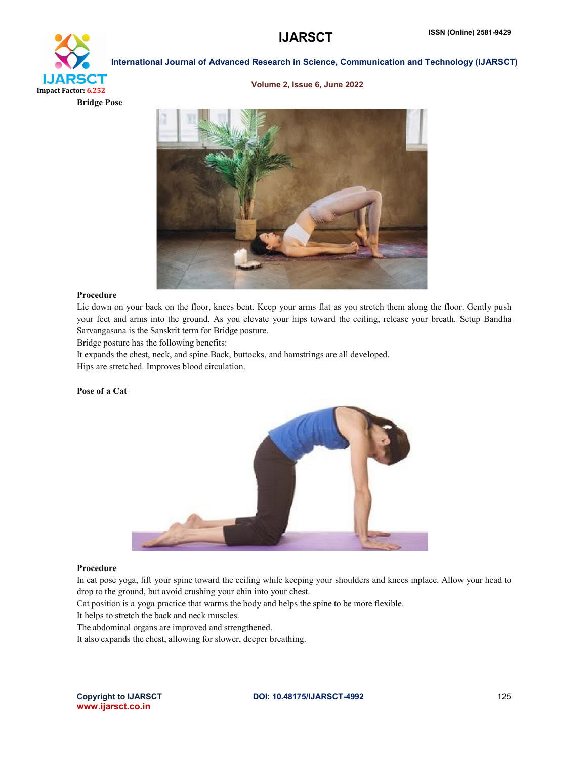# International Journal of Advanced Research in Science, Communication and Technology (IJARSCT) **IJARSCT** Impact Factor: 6.252

Bridge Pose

## Volume 2, Issue 6, June 2022



#### Procedure

Lie down on your back on the floor, knees bent. Keep your arms flat as you stretch them along the floor. Gently push your feet and arms into the ground. As you elevate your hips toward the ceiling, release your breath. Setup Bandha Sarvangasana is the Sanskrit term for Bridge posture.

Bridge posture has the following benefits:

It expands the chest, neck, and spine.Back, buttocks, and hamstrings are all developed. Hips are stretched. Improves blood circulation.

#### Pose of a Cat



#### Procedure

In cat pose yoga, lift your spine toward the ceiling while keeping your shoulders and knees inplace. Allow your head to drop to the ground, but avoid crushing your chin into your chest.

Cat position is a yoga practice that warms the body and helps the spine to be more flexible.

It helps to stretch the back and neck muscles.

The abdominal organs are improved and strengthened.

It also expands the chest, allowing for slower, deeper breathing.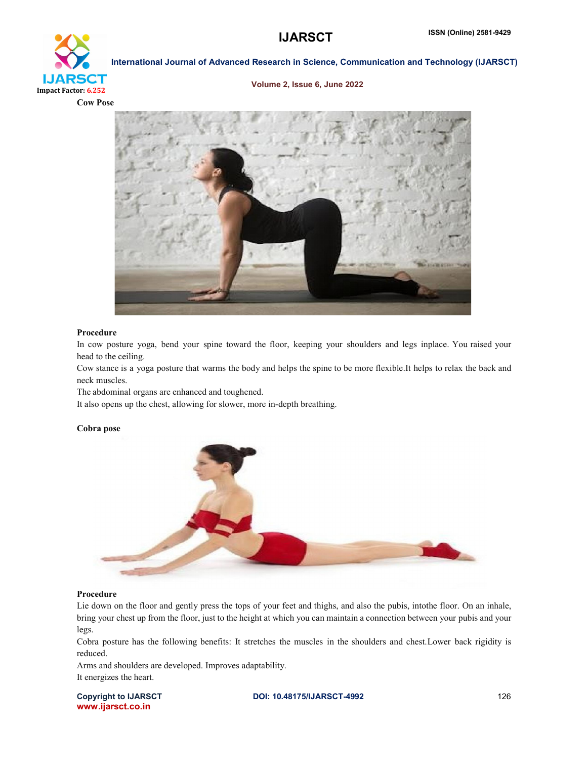

#### Volume 2, Issue 6, June 2022





#### Procedure

In cow posture yoga, bend your spine toward the floor, keeping your shoulders and legs inplace. You raised your head to the ceiling.

Cow stance is a yoga posture that warms the body and helps the spine to be more flexible.It helps to relax the back and neck muscles.

The abdominal organs are enhanced and toughened.

It also opens up the chest, allowing for slower, more in-depth breathing.

#### Cobra pose



#### Procedure

Lie down on the floor and gently press the tops of your feet and thighs, and also the pubis, intothe floor. On an inhale, bring your chest up from the floor, just to the height at which you can maintain a connection between your pubis and your legs.

Cobra posture has the following benefits: It stretches the muscles in the shoulders and chest.Lower back rigidity is reduced.

Arms and shoulders are developed. Improves adaptability. It energizes the heart.

www.ijarsct.co.in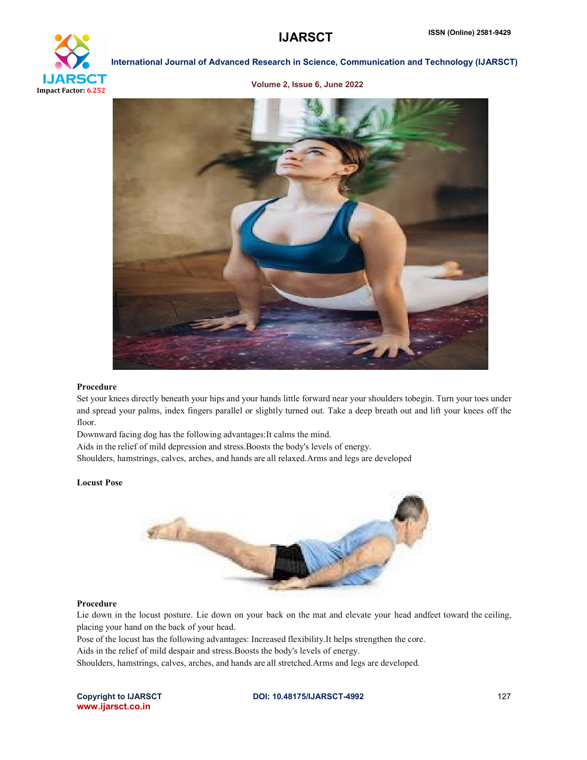

#### Volume 2, Issue 6, June 2022



#### Procedure

Set your knees directly beneath your hips and your hands little forward near your shoulders tobegin. Turn your toes under and spread your palms, index fingers parallel or slightly turned out. Take a deep breath out and lift your knees off the floor.

Downward facing dog has the following advantages:It calms the mind.

Aids in the relief of mild depression and stress.Boosts the body's levels of energy.

Shoulders, hamstrings, calves, arches, and hands are all relaxed.Arms and legs are developed

#### Locust Pose



#### Procedure

Lie down in the locust posture. Lie down on your back on the mat and elevate your head andfeet toward the ceiling, placing your hand on the back of your head.

Pose of the locust has the following advantages: Increased flexibility.It helps strengthen the core.

Aids in the relief of mild despair and stress.Boosts the body's levels of energy.

Shoulders, hamstrings, calves, arches, and hands are all stretched.Arms and legs are developed.

www.ijarsct.co.in